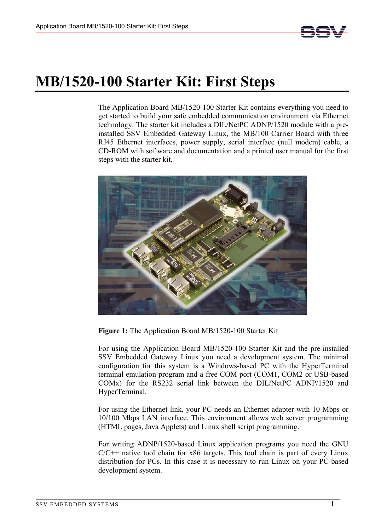

# **MB/1520-100 Starter Kit: First Steps**

The Application Board MB/1520-100 Starter Kit contains everything you need to get started to build your safe embedded communication environment via Ethernet technology. The starter kit includes a DIL/NetPC ADNP/1520 module with a preinstalled SSV Embedded Gateway Linux, the MB/100 Carrier Board with three RJ45 Ethernet interfaces, power supply, serial interface (null modem) cable, a CD-ROM with software and documentation and a printed user manual for the first steps with the starter kit.



**Figure 1:** The Application Board MB/1520-100 Starter Kit

For using the Application Board MB/1520-100 Starter Kit and the pre-installed SSV Embedded Gateway Linux you need a development system. The minimal configuration for this system is a Windows-based PC with the HyperTerminal terminal emulation program and a free COM port (COM1, COM2 or USB-based COMx) for the RS232 serial link between the DIL/NetPC ADNP/1520 and HyperTerminal.

For using the Ethernet link, your PC needs an Ethernet adapter with 10 Mbps or 10/100 Mbps LAN interface. This environment allows web server programming (HTML pages, Java Applets) and Linux shell script programming.

For writing ADNP/1520-based Linux application programs you need the GNU  $C/C++$  native tool chain for x86 targets. This tool chain is part of every Linux distribution for PCs. In this case it is necessary to run Linux on your PC-based development system.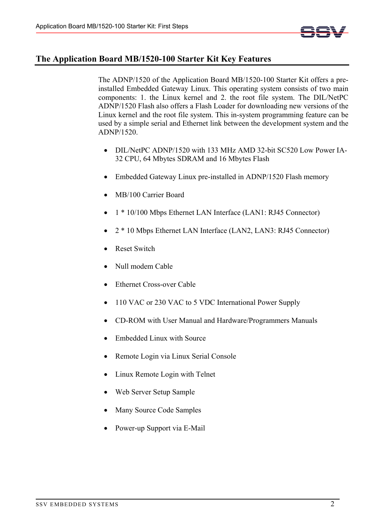

# **The Application Board MB/1520-100 Starter Kit Key Features**

The ADNP/1520 of the Application Board MB/1520-100 Starter Kit offers a preinstalled Embedded Gateway Linux. This operating system consists of two main components: 1. the Linux kernel and 2. the root file system. The DIL/NetPC ADNP/1520 Flash also offers a Flash Loader for downloading new versions of the Linux kernel and the root file system. This in-system programming feature can be used by a simple serial and Ethernet link between the development system and the ADNP/1520.

- DIL/NetPC ADNP/1520 with 133 MHz AMD 32-bit SC520 Low Power IA-32 CPU, 64 Mbytes SDRAM and 16 Mbytes Flash
- Embedded Gateway Linux pre-installed in ADNP/1520 Flash memory
- MB/100 Carrier Board
- 1 \* 10/100 Mbps Ethernet LAN Interface (LAN1: RJ45 Connector)
- 2 \* 10 Mbps Ethernet LAN Interface (LAN2, LAN3: RJ45 Connector)
- **Reset Switch**
- Null modem Cable
- Ethernet Cross-over Cable
- 110 VAC or 230 VAC to 5 VDC International Power Supply
- CD-ROM with User Manual and Hardware/Programmers Manuals
- Embedded Linux with Source
- Remote Login via Linux Serial Console
- Linux Remote Login with Telnet
- Web Server Setup Sample
- Many Source Code Samples
- Power-up Support via E-Mail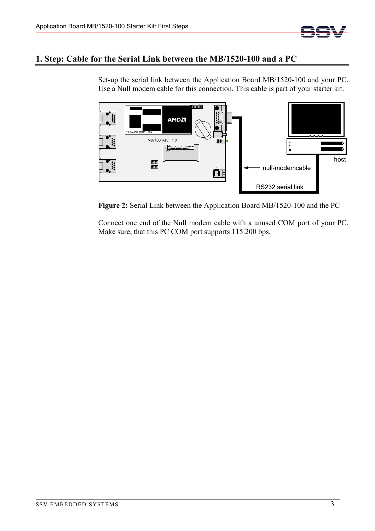

### **1. Step: Cable for the Serial Link between the MB/1520-100 and a PC**

Set-up the serial link between the Application Board MB/1520-100 and your PC. Use a Null modem cable for this connection. This cable is part of your starter kit.



**Figure 2:** Serial Link between the Application Board MB/1520-100 and the PC

Connect one end of the Null modem cable with a unused COM port of your PC. Make sure, that this PC COM port supports 115.200 bps.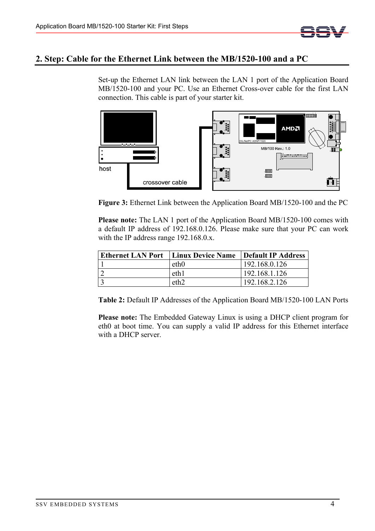

### **2. Step: Cable for the Ethernet Link between the MB/1520-100 and a PC**

Set-up the Ethernet LAN link between the LAN 1 port of the Application Board MB/1520-100 and your PC. Use an Ethernet Cross-over cable for the first LAN connection. This cable is part of your starter kit.



**Figure 3:** Ethernet Link between the Application Board MB/1520-100 and the PC

**Please note:** The LAN 1 port of the Application Board MB/1520-100 comes with a default IP address of 192.168.0.126. Please make sure that your PC can work with the IP address range 192.168.0.x.

| <b>Ethernet LAN Port</b>   Linux Device Name   Default IP Address |               |
|-------------------------------------------------------------------|---------------|
| eth0                                                              | 192.168.0.126 |
| eth1                                                              | 192.168.1.126 |
| eth <sub>2</sub>                                                  | 192.168.2.126 |

**Table 2:** Default IP Addresses of the Application Board MB/1520-100 LAN Ports

**Please note:** The Embedded Gateway Linux is using a DHCP client program for eth0 at boot time. You can supply a valid IP address for this Ethernet interface with a DHCP server.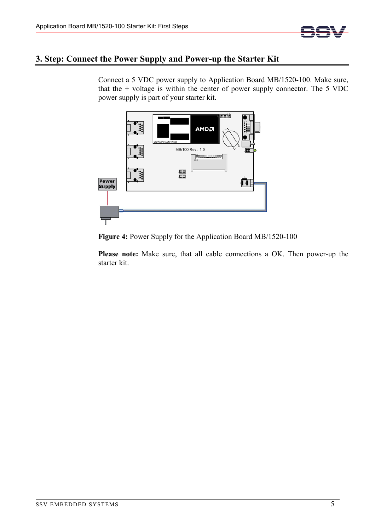

# **3. Step: Connect the Power Supply and Power-up the Starter Kit**

Connect a 5 VDC power supply to Application Board MB/1520-100. Make sure, that the + voltage is within the center of power supply connector. The 5 VDC power supply is part of your starter kit.



**Figure 4:** Power Supply for the Application Board MB/1520-100

**Please note:** Make sure, that all cable connections a OK. Then power-up the starter kit.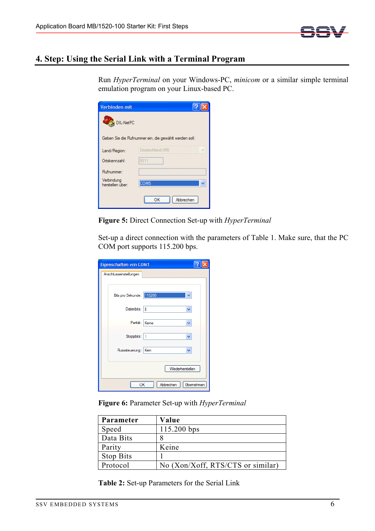

# **4. Step: Using the Serial Link with a Terminal Program**

Run *HyperTerminal* on your Windows-PC, *minicom* or a similar simple terminal emulation program on your Linux-based PC.

| Verbinden mit                  |                                                       |
|--------------------------------|-------------------------------------------------------|
| DIL-NetPC                      |                                                       |
|                                | Geben Sie die Rufnummer ein, die gewählt werden soll: |
| Land/Region:                   | Deutschland (49)                                      |
| Ortskennzahl:                  | 0511                                                  |
| Rufnummer:                     |                                                       |
| Verbindung<br>herstellen über: | COM <sub>5</sub>                                      |
|                                | ОΚ<br>Abbrechen                                       |

**Figure 5:** Direct Connection Set-up with *HyperTerminal*

Set-up a direct connection with the parameters of Table 1. Make sure, that the PC COM port supports 115.200 bps.

| Eigenschaften von COM1   |                  |            |
|--------------------------|------------------|------------|
| Anschlusseinstellungen   |                  |            |
|                          |                  |            |
| Bits pro Sekunde: 115200 |                  |            |
| Datenbits: 8             |                  |            |
| Parität: Keine           |                  | v          |
| Stoppbits: 1             |                  | v          |
| Flusssteuerung: Kein     |                  |            |
|                          | Wiederherstellen |            |
| OK                       | Abbrechen        | Übernehmen |

**Figure 6:** Parameter Set-up with *HyperTerminal*

| Parameter        | Value                             |
|------------------|-----------------------------------|
| Speed            | 115.200 bps                       |
| Data Bits        |                                   |
| Parity           | Keine                             |
| <b>Stop Bits</b> |                                   |
| Protocol         | No (Xon/Xoff, RTS/CTS or similar) |

**Table 2:** Set-up Parameters for the Serial Link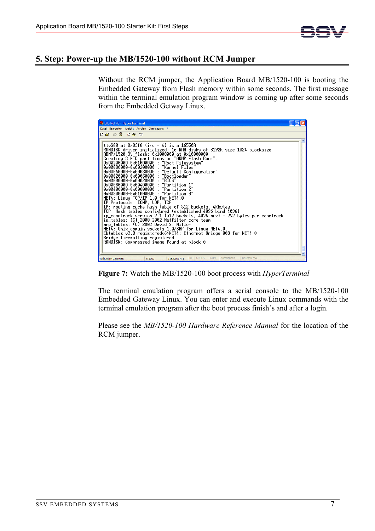

#### **5. Step: Power-up the MB/1520-100 without RCM Jumper**

Without the RCM jumper, the Application Board MB/1520-100 is booting the Embedded Gateway from Flash memory within some seconds. The first message within the terminal emulation program window is coming up after some seconds from the Embedded Getway Linux.

| DIL-NetPC - HyperTerminal                                                                                                                                                                                                                                                                                                                                                                                                                                                                                                                                                                                                                                                                                                                                                                                                                                                                                                                                                                                                                                                                                                                                                    |  |
|------------------------------------------------------------------------------------------------------------------------------------------------------------------------------------------------------------------------------------------------------------------------------------------------------------------------------------------------------------------------------------------------------------------------------------------------------------------------------------------------------------------------------------------------------------------------------------------------------------------------------------------------------------------------------------------------------------------------------------------------------------------------------------------------------------------------------------------------------------------------------------------------------------------------------------------------------------------------------------------------------------------------------------------------------------------------------------------------------------------------------------------------------------------------------|--|
| Datei Bearbeiten Ansicht Anrufen Übertragung ?                                                                                                                                                                                                                                                                                                                                                                                                                                                                                                                                                                                                                                                                                                                                                                                                                                                                                                                                                                                                                                                                                                                               |  |
| $D \ncong \ncong \ncong \ncong \ncong \ncong$                                                                                                                                                                                                                                                                                                                                                                                                                                                                                                                                                                                                                                                                                                                                                                                                                                                                                                                                                                                                                                                                                                                                |  |
| ttvS00 at 0x03f8 (irg = 4) is a 16550A<br>RAMDISK driver initialized: 16 RAM disks of 8192K size 1024 blocksize<br>ADNP/1520-3V flash: 0x1000000 at 0x10000000<br>Creating 8 MTD partitions on "ADNP Flash Bank":<br>0x00200000-0x01000000 : "Root Filesystem"<br>0x00080000-0x00200000 : "Kernel Files"<br>0x00060000-0x00080000 : "Default Configuration"<br>0x00020000-0x00060000 : "Bootloader"<br>$0 \times 00000000 - 0 \times 00020000$ : "BIOS"<br>0x00080000-0x00400000 : "Partition 1"<br>"Partition 2"<br>0x00400000-0x00800000 :<br>0x00800000-0x01000000 : "Partition 3"<br>NET4: Linux TCP/IP 1.0 for NET4.0<br>IP Protocols: ICMP, UDP, TCP<br>IP: routing cache hash table of 512 buckets, 4Kbytes<br>TCP: Hash tables configµred (established 4096 bind 4096)<br>ip conntrack version 2.1 (512 buckets, 4096 max) - 292 bytes per conntrack<br>ip tables: (C) 2000-2002 Netfilter core team<br>arp_tables: (C) 2002 David S. Miller<br>NET4: Unix domain sockets 1.0/SMP for Linux NET4.0.<br>Ebtables v2.0 registered<6>NET4: Ethernet Bridge 008 for NET4.0<br>Bridge firewalling registered<br>RAMDISK: Compressed image found at block 0<br>Druckerecho |  |
| RF GROSS<br>NUM<br>Aufzeichnen<br>Verbunden 02:39:55<br>VT1003<br>115200 8-N-1                                                                                                                                                                                                                                                                                                                                                                                                                                                                                                                                                                                                                                                                                                                                                                                                                                                                                                                                                                                                                                                                                               |  |

**Figure 7:** Watch the MB/1520-100 boot process with *HyperTerminal*

The terminal emulation program offers a serial console to the MB/1520-100 Embedded Gateway Linux. You can enter and execute Linux commands with the terminal emulation program after the boot process finish's and after a login.

Please see the *MB/1520-100 Hardware Reference Manual* for the location of the RCM jumper.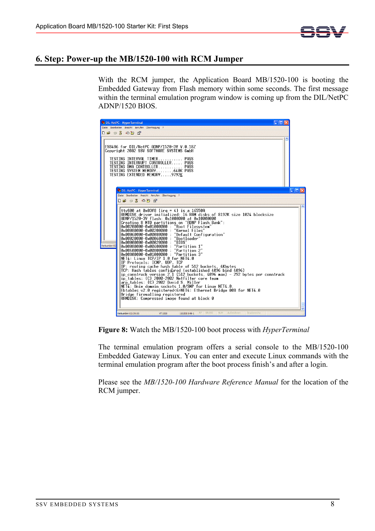

### **6. Step: Power-up the MB/1520-100 with RCM Jumper**

With the RCM jumper, the Application Board MB/1520-100 is booting the Embedded Gateway from Flash memory within some seconds. The first message within the terminal emulation program window is coming up from the DIL/NetPC ADNP/1520 BIOS.

| DIL-NetPC - HyperTerminal                                                                                                                                                                                                                                                                                                                                                                                                                                                                                                                                                                                                                                                                                                                                                                                                                                                                                                                                                                                                                                                                                                                                                           |      |
|-------------------------------------------------------------------------------------------------------------------------------------------------------------------------------------------------------------------------------------------------------------------------------------------------------------------------------------------------------------------------------------------------------------------------------------------------------------------------------------------------------------------------------------------------------------------------------------------------------------------------------------------------------------------------------------------------------------------------------------------------------------------------------------------------------------------------------------------------------------------------------------------------------------------------------------------------------------------------------------------------------------------------------------------------------------------------------------------------------------------------------------------------------------------------------------|------|
| Datei Bearbeiten Ansicht Anrufen Übertragung ?                                                                                                                                                                                                                                                                                                                                                                                                                                                                                                                                                                                                                                                                                                                                                                                                                                                                                                                                                                                                                                                                                                                                      |      |
| .                                                                                                                                                                                                                                                                                                                                                                                                                                                                                                                                                                                                                                                                                                                                                                                                                                                                                                                                                                                                                                                                                                                                                                                   |      |
|                                                                                                                                                                                                                                                                                                                                                                                                                                                                                                                                                                                                                                                                                                                                                                                                                                                                                                                                                                                                                                                                                                                                                                                     |      |
| ESB486 for DIL/NetPC ADNP/1520-3V V.0.18Z<br>Copyright 2002 SSV SOFTWARE SYSTEMS GmbH<br>TESTING INTERVAL TIMER<br>PASS<br>TESTING INTERRUPT CONTROLLER PASS<br>TESTING DMA CONTROLLER PASS<br>TESTING SYSTEM MEMORY640K PASS<br>TESTING EXTENDED MEMORY9792K<br>DIL-NetPC - HyperTerminal                                                                                                                                                                                                                                                                                                                                                                                                                                                                                                                                                                                                                                                                                                                                                                                                                                                                                          | e lo |
| Datei Bearbeiten Ansicht Anrufen Übertragung ?                                                                                                                                                                                                                                                                                                                                                                                                                                                                                                                                                                                                                                                                                                                                                                                                                                                                                                                                                                                                                                                                                                                                      |      |
| D 2 3 3 D D A 1                                                                                                                                                                                                                                                                                                                                                                                                                                                                                                                                                                                                                                                                                                                                                                                                                                                                                                                                                                                                                                                                                                                                                                     |      |
|                                                                                                                                                                                                                                                                                                                                                                                                                                                                                                                                                                                                                                                                                                                                                                                                                                                                                                                                                                                                                                                                                                                                                                                     |      |
| ttyS00 at $0 \times 03f8$ (irg = 4) is a 16550A<br>RAMDISK driver initialized: 16 RAM disks of 8192K size 1024 blocksize<br>ADNP/1520-3V flash: 0x1000000 at 0x10000000<br>Creating 8 MTD partitions on "ADNP Flash Bank":<br>0x00200000-0x01000000 : "Root Filesvstem"<br>"Kernel Files"<br>$0\times00080000 - 0\times00200000$<br>0x00060000-0x00080000 : "Default Configuration"<br>0x00020000-0x00060000 : "Bootloader"<br>0x00000000-0x00020000 : "BIOS"<br>Verbunden 02<br>0x00080000-0x00400000 : "Partition 1"<br>0x00400000-0x00800000 :<br>"Partition 2"<br>0x00800000-0x01000000 : "Partition 3"<br>NET4: Linux TCP/IP 1.0 for NET4.0<br>IP Protocols: ICMP, UDP, TCP<br>IP: routing cache hash table of 512 buckets. 4Kbytes<br>TCP: Hash tables configured (established 4096 bind 4096)<br>ip conntrack version 2.1 (512 buckets, 4096 max) - 292 bytes per conntrack<br>ip tables: (C) 2000-2002 Netfilter core team<br>arp tables: (C) 2002 David S. Miller<br>NET4: Unix domain sockets 1.0/SMP for Linux NET4.0.<br>Ebtables v2.0 registered<6>NET4: Ethernet Bridge 008 for NET4.0<br>Bridge firewalling registered<br>RAMDISK: Compressed image found at block 0 |      |
| Druckerecho<br>RF GROSS<br>NUM Aufzeichnen<br>Verbunden 02:39:55<br>VT100J<br>115200 8-N-1                                                                                                                                                                                                                                                                                                                                                                                                                                                                                                                                                                                                                                                                                                                                                                                                                                                                                                                                                                                                                                                                                          |      |

**Figure 8:** Watch the MB/1520-100 boot process with *HyperTerminal*

The terminal emulation program offers a serial console to the MB/1520-100 Embedded Gateway Linux. You can enter and execute Linux commands with the terminal emulation program after the boot process finish's and after a login.

Please see the *MB/1520-100 Hardware Reference Manual* for the location of the RCM jumper.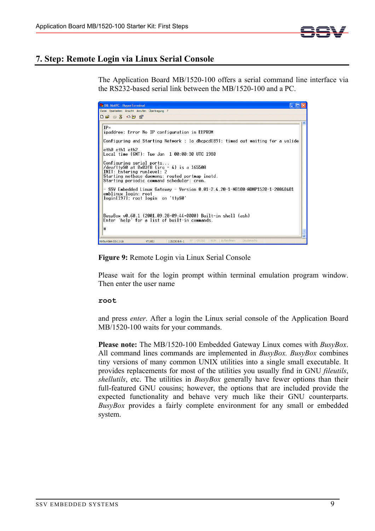

# **7. Step: Remote Login via Linux Serial Console**

The Application Board MB/1520-100 offers a serial command line interface via the RS232-based serial link between the MB/1520-100 and a PC.

| DIL-NetPC - HyperTerminal                                                                                                                                                                             |  |
|-------------------------------------------------------------------------------------------------------------------------------------------------------------------------------------------------------|--|
| Datei Bearbeiten Ansicht Anrufen Übertragung ?                                                                                                                                                        |  |
| $D \cap B = 2$ in $A$ in $B$                                                                                                                                                                          |  |
| $IP =$<br>ipaddree: Error No IP configuration in EEPROM<br>Configuring and Starting Network : lo dhcpcd[89]: timed out waiting for a valide                                                           |  |
| eth0 eth1 eth2<br>Local time (GMT): Tue Jan 1 00:00:30 UTC 1980                                                                                                                                       |  |
| Configuring serial ports<br>/dev/ttyS0 at 0x03f8 (irq = 4) is a 16550A<br>INIT: Entering runlevel: 2<br>Starting netbase daemons: routed portmap inetd.<br>Starting periodic command scheduler: cron. |  |
| - SSV Embedded Linux Gateway - Version 0.01-2.4.20-1-MB100-ADNP1520-1-20040401<br>emblinux login: root<br>login[197]: root login on 'ttyS0'                                                           |  |
| BusvBox v0.60.1 (2001.09.28-09:44+0000) Built-in shell (ash)<br>Enter 'help' for a list of built-in commands.<br>Ħ                                                                                    |  |
| NUM<br>RF GROSS<br>Aufzeichnen<br>Druckerecho<br>115200 8-N-1<br>Verbunden 03:11:16<br>VT100J                                                                                                         |  |

**Figure 9:** Remote Login via Linux Serial Console

Please wait for the login prompt within terminal emulation program window. Then enter the user name

#### **root**

and press *enter*. After a login the Linux serial console of the Application Board MB/1520-100 waits for your commands.

**Please note:** The MB/1520-100 Embedded Gateway Linux comes with *BusyBox*. All command lines commands are implemented in *BusyBox. BusyBox* combines tiny versions of many common UNIX utilities into a single small executable. It provides replacements for most of the utilities you usually find in GNU *fileutils*, *shellutils*, etc. The utilities in *BusyBox* generally have fewer options than their full-featured GNU cousins; however, the options that are included provide the expected functionality and behave very much like their GNU counterparts. *BusyBox* provides a fairly complete environment for any small or embedded system.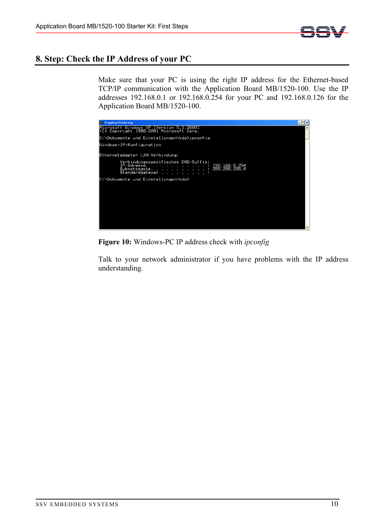

# **8. Step: Check the IP Address of your PC**

Make sure that your PC is using the right IP address for the Ethernet-based TCP/IP communication with the Application Board MB/1520-100. Use the IP addresses 192.168.0.1 or 192.168.0.254 for your PC and 192.168.0.126 for the Application Board MB/1520-100.

| <b>Ex Eingabeaufforderung</b>                                                                                                                            | - 10 |
|----------------------------------------------------------------------------------------------------------------------------------------------------------|------|
| Microsoft Windows XP [Version 5.1.2600]<br>(C) Copyright 1985-2001 Microsoft Corp.                                                                       |      |
| C:\Dokumente und Einstellungen\kdw>ipconfig                                                                                                              |      |
| Windows-IP-Konfiguration                                                                                                                                 |      |
| Ethernetadapter LAN-Verbindung:                                                                                                                          |      |
| Verbindungsspezifisches DNS-Suffix:<br>$\ddot{1}$ : 122.168.0.254<br>: 255.255.255.0<br>IP-Adresse. <del>. .</del> .<br>Subnetzmaske.<br>Standardgateway |      |
| C:\Dokumente und Einstellungen\kdw>                                                                                                                      |      |
|                                                                                                                                                          |      |
|                                                                                                                                                          |      |
|                                                                                                                                                          |      |
|                                                                                                                                                          |      |
|                                                                                                                                                          |      |
|                                                                                                                                                          |      |
|                                                                                                                                                          |      |

**Figure 10:** Windows-PC IP address check with *ipconfig* 

Talk to your network administrator if you have problems with the IP address understanding.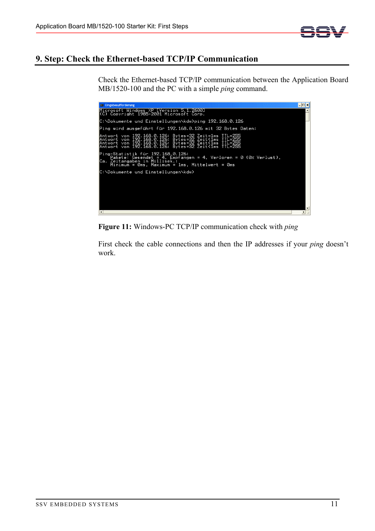

# **9. Step: Check the Ethernet-based TCP/IP Communication**

Check the Ethernet-based TCP/IP communication between the Application Board MB/1520-100 and the PC with a simple *ping* command.

| <b>ev Eingabeaufforderung</b>                                                                                                                                                                                                | - ⊡ × I |
|------------------------------------------------------------------------------------------------------------------------------------------------------------------------------------------------------------------------------|---------|
| Microsoft Windows XP [Version 5.1.2600]<br>(C) Copyright 1985-2001 Microsoft Corp.                                                                                                                                           |         |
| C:\Dokumente und Einstellungen\kdw>ping 192.168.0.126                                                                                                                                                                        |         |
| Ping wird ausgeführt für 192.168.0.126 mit 32 Bytes Daten:                                                                                                                                                                   |         |
| Antwort von 192.168.0.126: Bytes=32 Zeit=1ms TTL=255<br>Antwort von 192.168.0.126: Bytes=32 Zeit<1ms TTL=255<br>Antwort von 192.168.0.126: Bytes=32 Zeit<1ms TTL=255<br>Antwort von 192.168.0.126: Bytes=32 Zeit<1ms TTL=255 |         |
| Ping-Statistik für 192.168.0.126:<br>Pakete: Gesendet = 4, Empfangen = 4, Verloren = 0 (0% Verlust),<br>Ca. Zeitangaben in Millisek.:<br>Minimum = 0ms, Maximum = 1ms, Mittelwert = 0ms                                      |         |
| C:\Dokumente und Einstellungen\kdw>                                                                                                                                                                                          |         |
|                                                                                                                                                                                                                              |         |
|                                                                                                                                                                                                                              |         |
|                                                                                                                                                                                                                              |         |
|                                                                                                                                                                                                                              |         |
|                                                                                                                                                                                                                              |         |

**Figure 11:** Windows-PC TCP/IP communication check with *ping* 

First check the cable connections and then the IP addresses if your *ping* doesn't work.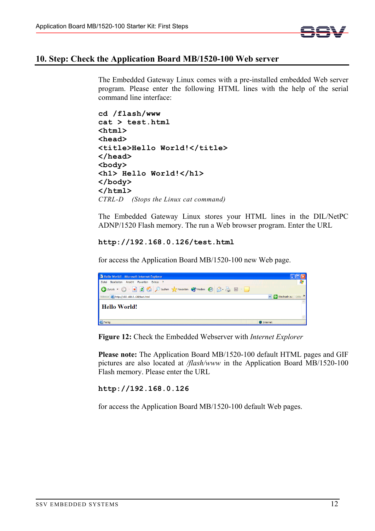

#### **10. Step: Check the Application Board MB/1520-100 Web server**

The Embedded Gateway Linux comes with a pre-installed embedded Web server program. Please enter the following HTML lines with the help of the serial command line interface:

```
cd /flash/www 
cat > test.html 
<html> 
<head> 
<title>Hello World!</title> 
</head> 
<body> 
<h1> Hello World!</h1> 
</body> 
</html>
CTRL-D (Stops the Linux cat command)
```
The Embedded Gateway Linux stores your HTML lines in the DIL/NetPC ADNP/1520 Flash memory. The run a Web browser program. Enter the URL

#### **http://192.168.0.126/test.html**

for access the Application Board MB/1520-100 new Web page.



**Figure 12:** Check the Embedded Webserver with *Internet Explorer* 

**Please note:** The Application Board MB/1520-100 default HTML pages and GIF pictures are also located at */flash/www* in the Application Board MB/1520-100 Flash memory. Please enter the URL

**http://192.168.0.126** 

for access the Application Board MB/1520-100 default Web pages.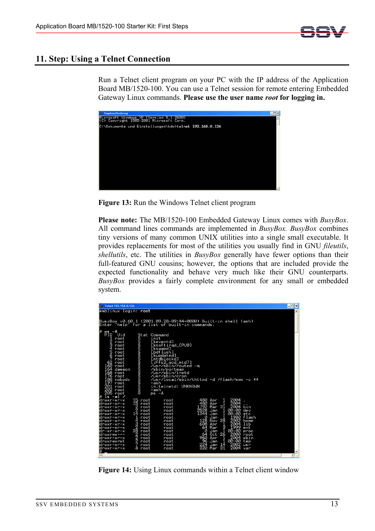

# **11. Step: Using a Telnet Connection**

Run a Telnet client program on your PC with the IP address of the Application Board MB/1520-100. You can use a Telnet session for remote entering Embedded Gateway Linux commands. **Please use the user name** *root* **for logging in.** 



**Figure 13:** Run the Windows Telnet client program

**Please note:** The MB/1520-100 Embedded Gateway Linux comes with *BusyBox*. All command lines commands are implemented in *BusyBox. BusyBox* combines tiny versions of many common UNIX utilities into a single small executable. It provides replacements for most of the utilities you usually find in GNU *fileutils*, *shellutils*, etc. The utilities in *BusyBox* generally have fewer options than their full-featured GNU cousins; however, the options that are included provide the expected functionality and behave very much like their GNU counterparts. *BusyBox* provides a fairly complete environment for any small or embedded system.

| <b>EX Telnet 192.168.0.126</b>                                                                                                                                                                                                                                                                                                                                                                                                                                                                                                                                                                                                                                                                                                                                                                                                                                                                                                                                                                                                                                                                                                                                            | $\overline{ \cdot }$ $\overline{ \cdot }$     |
|---------------------------------------------------------------------------------------------------------------------------------------------------------------------------------------------------------------------------------------------------------------------------------------------------------------------------------------------------------------------------------------------------------------------------------------------------------------------------------------------------------------------------------------------------------------------------------------------------------------------------------------------------------------------------------------------------------------------------------------------------------------------------------------------------------------------------------------------------------------------------------------------------------------------------------------------------------------------------------------------------------------------------------------------------------------------------------------------------------------------------------------------------------------------------|-----------------------------------------------|
| emblinux login: root                                                                                                                                                                                                                                                                                                                                                                                                                                                                                                                                                                                                                                                                                                                                                                                                                                                                                                                                                                                                                                                                                                                                                      | $\blacktriangle$                              |
|                                                                                                                                                                                                                                                                                                                                                                                                                                                                                                                                                                                                                                                                                                                                                                                                                                                                                                                                                                                                                                                                                                                                                                           |                                               |
| BusyBox v0.60.1 (2001.09.28-09:44+0000) Built-in shell (ash)<br>Enter 'help' for a list of built-in commands.                                                                                                                                                                                                                                                                                                                                                                                                                                                                                                                                                                                                                                                                                                                                                                                                                                                                                                                                                                                                                                                             |                                               |
| l#<br>-A<br>Pid<br>Uid<br>Stat Command<br>initiative film<br>international probability<br>initiative film<br>initiative film<br>initiative film<br>initiative film<br>initiative film<br>initiative film<br>initiative film<br>initiative film<br>initiative film<br>ps<br>-ash in<br>contract contract contract contract contract contract contract contract contract contract contract contract contract contract contract contract contract contract contract contract contract contract contract contract contra<br>[keventd]<br>[ksoftirad_CPU0]<br>[kswapd]<br>[bdf]ush]<br><u>[kupda</u> ted]<br>[mtdblockd]<br>$\begin{array}{c} 62 \text{ root} \\ 160 \text{ root} \\ 164 \text{ denote} \\ 168 \text{ root} \\ 176 \text{ root} \\ 198 \text{ root} \\ 197 \text{ root} \\ 292 \text{ root} \end{array}$<br>[jffs2_gcd_mtd7]<br>/usr/sbin/routed<br>l<br>a<br>/sbin/portmap<br>/usr/sbin/inetd<br>/usr/sbin/cron<br>/usr/local/sbin/thttpd -d /flash/www -c **<br>in.telnetd: UNKNOWN<br>ZØŽ root<br>205 root<br>l#<br>$ls -al$<br>╱                                                                                                                           |                                               |
| drwxr-xr-x<br>2004<br>$\frac{15}{15}$<br>480<br>$\begin{array}{c}\n1 \\ 0 \\ 1\n\end{array}$<br>root<br>Apr<br>root<br>2004<br>480<br>Apr<br>Mar<br>drwxr-xr-x<br>root<br>root<br>2004<br>.792<br>$\frac{2}{2}$<br>bin<br>drwxr-xr-x<br>root<br>root<br>2528<br>00:00<br>Jan<br>dev<br>drwxr-xr-x<br>root<br>root<br>1344<br>00:00<br>14<br>Jan<br>etc<br>drwxr-xr-x<br>root<br>root<br>ī<br>Ø<br>1980<br>flash<br>1<br>Jan<br>drwxr-xr-x<br>root<br>root<br>$26 + 6 + 6 + 6$<br>Nov.<br>$\overline{4}$<br>128<br>2002<br>home<br>root<br>ldrwxr-xr-x<br>root<br>608<br>2004<br>ω<br>lib<br>Apr<br>root<br>drwxr-xr-x<br>root<br>$\bar{2}$<br>64<br>- 1999<br>00:00<br>Mar<br>mnt<br>drwxr-xr-x<br>root<br>root<br>28<br>Ø<br>Jan<br>root<br>ldr-xr-xr-x<br>root<br>proc<br>NNAN<br>N<br>2000<br>64<br>0ct<br>root<br>drwxrwx---<br>root<br>root<br>960<br>96<br>224<br>2004<br>$\frac{1}{14}$<br>$\frac{1}{31}$<br>sbin<br>Apr<br>Jan<br>ldrwxr-xr-x<br>root<br>root<br>drwxrwxrwt<br>00:00<br>tmp<br>root<br>root<br>2002<br>Jan<br>Mar<br>drwxr-xr-x<br>root<br>us r<br>root<br>320<br>2004<br>8<br>root<br>drwxr-xr-x<br>root<br>var<br>E<br>$\overline{\phantom{a}}$ | $\blacktriangledown$<br>$\blacktriangleright$ |

**Figure 14:** Using Linux commands within a Telnet client window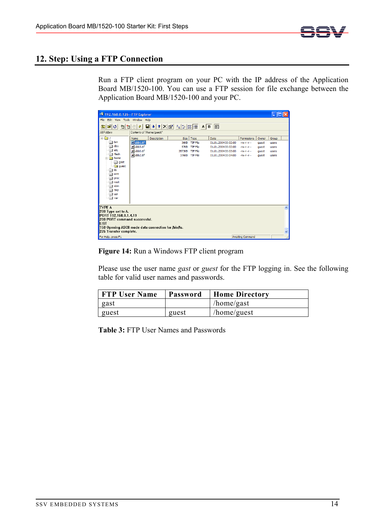

# **12. Step: Using a FTP Connection**

Run a FTP client program on your PC with the IP address of the Application Board MB/1520-100. You can use a FTP session for file exchange between the Application Board MB/1520-100 and your PC.

| 划 192.168.0.126 - FTP Explorer                                                  |                            |             |             |                 |                     |                         |       |       |   |
|---------------------------------------------------------------------------------|----------------------------|-------------|-------------|-----------------|---------------------|-------------------------|-------|-------|---|
| File Edit View Tools Window Help                                                |                            |             |             |                 |                     |                         |       |       |   |
| اڻ ≊<br>有百一<br>白                                                                | $\pmb{\phi}$               |             |             |                 |                     |                         |       |       |   |
| All Folders                                                                     | Contents of '/home/guest/' |             |             |                 |                     |                         |       |       |   |
| $\Box$                                                                          | Name                       | Description | Size        | Type            | Date                | Permissions             | Owner | Group |   |
| hin                                                                             | abb1.tif                   |             | <b>36KB</b> | TIF File        | 01.01.2004 00:02:00 | $-W-T-T$                | quest | users |   |
| dev                                                                             | alabb3.tif                 |             | <b>57KB</b> | <b>TIF File</b> | 01.01.2004 00:02:00 | $-W-F-T$                | quest | users |   |
| etc                                                                             | alabb0.tif                 |             | 3573KB      | TIF File        | 01.01.2004 00:03:00 | $-W-F-T$                | quest | users |   |
| flash                                                                           | alabb2.tif                 |             |             | 376KB TIF File  | 01.01.2004 00:04:00 | $-W-F-T$                | quest | users |   |
| in home<br>Ė                                                                    |                            |             |             |                 |                     |                         |       |       |   |
| gast<br><b>S</b> quest                                                          |                            |             |             |                 |                     |                         |       |       |   |
| lib                                                                             |                            |             |             |                 |                     |                         |       |       |   |
| mnt                                                                             |                            |             |             |                 |                     |                         |       |       |   |
| proc                                                                            |                            |             |             |                 |                     |                         |       |       |   |
| root                                                                            |                            |             |             |                 |                     |                         |       |       |   |
| sbin                                                                            |                            |             |             |                 |                     |                         |       |       |   |
| tmp                                                                             |                            |             |             |                 |                     |                         |       |       |   |
| usr                                                                             |                            |             |             |                 |                     |                         |       |       |   |
| var                                                                             |                            |             |             |                 |                     |                         |       |       |   |
|                                                                                 |                            |             |             |                 |                     |                         |       |       |   |
| ITYPE A                                                                         |                            |             |             |                 |                     |                         |       |       | × |
| 200 Type set to A.                                                              |                            |             |             |                 |                     |                         |       |       |   |
| PORT 192,168,0,1,4,19                                                           |                            |             |             |                 |                     |                         |       |       |   |
| 200 PORT command successful.                                                    |                            |             |             |                 |                     |                         |       |       |   |
| LIST                                                                            |                            |             |             |                 |                     |                         |       |       |   |
| 150 Opening ASCII mode data connection for /bin/ls.<br>$\overline{\phantom{0}}$ |                            |             |             |                 |                     |                         |       |       |   |
| 226 Transfer complete.                                                          |                            |             |             |                 |                     |                         |       |       |   |
| For Help, press F1                                                              |                            |             |             |                 |                     | <b>Awaiting Command</b> |       |       |   |

#### **Figure 14:** Run a Windows FTP client program

Please use the user name *gast* or *guest* for the FTP logging in. See the following table for valid user names and passwords.

| <b>FTP User Name</b> | Password | <b>Home Directory</b> |
|----------------------|----------|-----------------------|
| gast                 |          | /home/gast            |
| guest                | guest    | /home/guest           |

**Table 3:** FTP User Names and Passwords